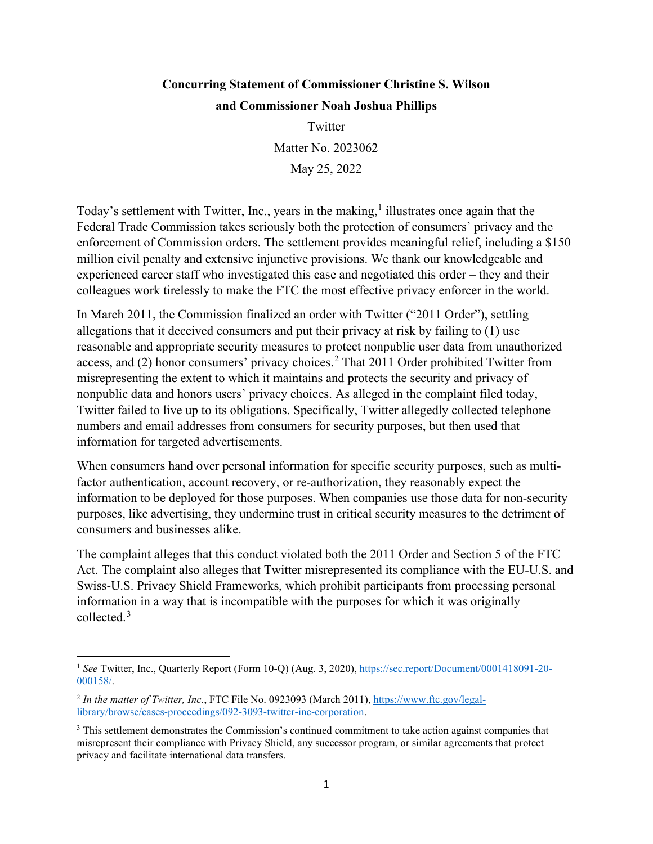## **Concurring Statement of Commissioner Christine S. Wilson and Commissioner Noah Joshua Phillips**

 May 25, 2022 Twitter Matter No. 2023062

Today's settlement with Twitter, Inc., years in the making,<sup>[1](#page-0-0)</sup> illustrates once again that the Federal Trade Commission takes seriously both the protection of consumers' privacy and the enforcement of Commission orders. The settlement provides meaningful relief, including a \$150 million civil penalty and extensive injunctive provisions. We thank our knowledgeable and experienced career staff who investigated this case and negotiated this order – they and their colleagues work tirelessly to make the FTC the most effective privacy enforcer in the world.

 numbers and email addresses from consumers for security purposes, but then used that In March 2011, the Commission finalized an order with Twitter ("2011 Order"), settling allegations that it deceived consumers and put their privacy at risk by failing to (1) use reasonable and appropriate security measures to protect nonpublic user data from unauthorized access, and  $(2)$  honor consumers' privacy choices.<sup>2</sup> That 2011 Order prohibited Twitter from misrepresenting the extent to which it maintains and protects the security and privacy of nonpublic data and honors users' privacy choices. As alleged in the complaint filed today, Twitter failed to live up to its obligations. Specifically, Twitter allegedly collected telephone information for targeted advertisements.

When consumers hand over personal information for specific security purposes, such as multifactor authentication, account recovery, or re-authorization, they reasonably expect the information to be deployed for those purposes. When companies use those data for non-security purposes, like advertising, they undermine trust in critical security measures to the detriment of consumers and businesses alike.

 Act. The complaint also alleges that Twitter misrepresented its compliance with the EU-U.S. and The complaint alleges that this conduct violated both the 2011 Order and Section 5 of the FTC Swiss-U.S. Privacy Shield Frameworks, which prohibit participants from processing personal information in a way that is incompatible with the purposes for which it was originally collected.[3](#page-0-2) 

<span id="page-0-0"></span><sup>&</sup>lt;sup>1</sup>See Twitter, Inc., Quarterly Report (Form 10-Q) (Aug. 3, 2020), <https://sec.report/Document/0001418091-20>[-](https://sec.report/Document/0001418091-20-000158/) [000158/.](https://sec.report/Document/0001418091-20-000158/)

<span id="page-0-1"></span><sup>2</sup> *In the matter of Twitter, Inc.*, FTC File No. 0923093 (March 2011),<https://www.ftc.gov/legal>[library/browse/cases-proceedings/092-3093-twitter-inc-corporation.](https://www.ftc.gov/legal-library/browse/cases-proceedings/092-3093-twitter-inc-corporation)

<span id="page-0-2"></span><sup>&</sup>lt;sup>3</sup> This settlement demonstrates the Commission's continued commitment to take action against companies that misrepresent their compliance with Privacy Shield, any successor program, or similar agreements that protect privacy and facilitate international data transfers.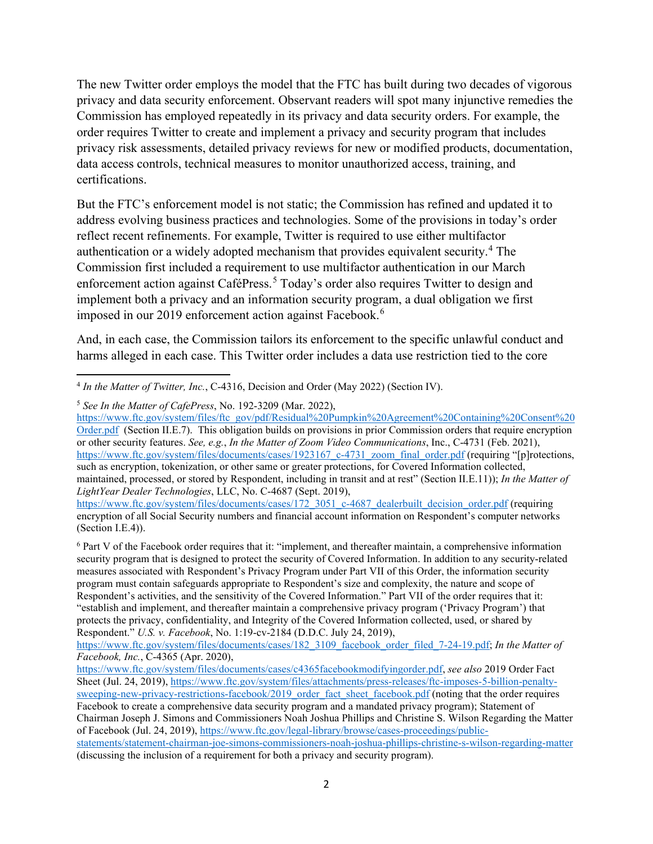The new Twitter order employs the model that the FTC has built during two decades of vigorous data access controls, technical measures to monitor unauthorized access, training, and certifications. privacy and data security enforcement. Observant readers will spot many injunctive remedies the Commission has employed repeatedly in its privacy and data security orders. For example, the order requires Twitter to create and implement a privacy and security program that includes privacy risk assessments, detailed privacy reviews for new or modified products, documentation,

 reflect recent refinements. For example, Twitter is required to use either multifactor imposed in our 2019 enforcement action against Facebook.<sup>6</sup> But the FTC's enforcement model is not static; the Commission has refined and updated it to address evolving business practices and technologies. Some of the provisions in today's order authentication or a widely adopted mechanism that provides equivalent security.<sup>[4](#page-1-0)</sup> The Commission first included a requirement to use multifactor authentication in our March enforcement action against CaféPress.<sup>5</sup> Today's order also requires Twitter to design and implement both a privacy and an information security program, a dual obligation we first

And, in each case, the Commission tailors its enforcement to the specific unlawful conduct and harms alleged in each case. This Twitter order includes a data use restriction tied to the core

<span id="page-1-1"></span><sup>5</sup>*See In the Matter of CafePress*, No. 192-3209 (Mar. 2022),

[Order.pdf](https://www.ftc.gov/system/files/ftc_gov/pdf/Residual%20Pumpkin%20Agreement%20Containing%20Consent%20Order.pdf) (Section II.E.7). This obligation builds on provisions in prior Commission orders that require encryption or other security features. *See, e.g.*, *In the Matter of Zoom Video Communications*, Inc., C-4731 (Feb. 2021), such as encryption, tokenization, or other same or greater protections, for Covered Information collected, *LightYear Dealer Technologies*, LLC, No. C-4687 (Sept. 2019), [https://www.ftc.gov/system/files/ftc\\_gov/pdf/Residual%20Pumpkin%20Agreement%20Containing%20Consent%20](https://www.ftc.gov/system/files/ftc_gov/pdf/Residual%20Pumpkin%20Agreement%20Containing%20Consent%20Order.pdf)  [https://www.ftc.gov/system/files/documents/cases/1923167\\_c-4731\\_zoom\\_final\\_order.pdf](https://www.ftc.gov/system/files/documents/cases/1923167_c-4731_zoom_final_order.pdf) (requiring "[p]rotections, maintained, processed, or stored by Respondent, including in transit and at rest" (Section II.E.11)); *In the Matter of* 

<span id="page-1-2"></span> Respondent's activities, and the sensitivity of the Covered Information." Part VII of the order requires that it: 6 Part V of the Facebook order requires that it: "implement, and thereafter maintain, a comprehensive information security program that is designed to protect the security of Covered Information. In addition to any security-related measures associated with Respondent's Privacy Program under Part VII of this Order, the information security program must contain safeguards appropriate to Respondent's size and complexity, the nature and scope of "establish and implement, and thereafter maintain a comprehensive privacy program ('Privacy Program') that protects the privacy, confidentiality, and Integrity of the Covered Information collected, used, or shared by Respondent." *U.S. v. Facebook*, No. 1:19-cv-2184 (D.D.C. July 24, 2019),

<span id="page-1-0"></span><sup>4</sup>*In the Matter of Twitter, Inc.*, C-4316, Decision and Order (May 2022) (Section IV).

[https://www.ftc.gov/system/files/documents/cases/172\\_3051\\_c-4687\\_dealerbuilt\\_decision\\_order.pdf](https://www.ftc.gov/system/files/documents/cases/172_3051_c-4687_dealerbuilt_decision_order.pdf) (requiring encryption of all Social Security numbers and financial account information on Respondent's computer networks (Section I.E.4)).

[https://www.ftc.gov/system/files/documents/cases/182\\_3109\\_facebook\\_order\\_filed\\_7-24-19.pdf;](https://www.ftc.gov/system/files/documents/cases/182_3109_facebook_order_filed_7-24-19.pdf) *In the Matter of Facebook, Inc.*, C-4365 (Apr. 2020),

 (discussing the inclusion of a requirement for both a privacy and security program). [https://www.ftc.gov/system/files/documents/cases/c4365facebookmodifyingorder.pdf,](https://www.ftc.gov/system/files/documents/cases/c4365facebookmodifyingorder.pdf) *see also* 2019 Order Fact Sheet (Jul. 24, 2019),[https://www.ftc.gov/system/files/attachments/press-releases/ftc-imposes-5-billion-penalt](https://www.ftc.gov/system/files/attachments/press-releases/ftc-imposes-5-billion-penalty)[y](https://www.ftc.gov/system/files/attachments/press-releases/ftc-imposes-5-billion-penalty-sweeping-new-privacy-restrictions-facebook/2019_order_fact_sheet_facebook.pdf)[sweeping-new-privacy-restrictions-facebook/2019\\_order\\_fact\\_sheet\\_facebook.pdf](https://www.ftc.gov/system/files/attachments/press-releases/ftc-imposes-5-billion-penalty-sweeping-new-privacy-restrictions-facebook/2019_order_fact_sheet_facebook.pdf) (noting that the order requires Facebook to create a comprehensive data security program and a mandated privacy program); Statement of Chairman Joseph J. Simons and Commissioners Noah Joshua Phillips and Christine S. Wilson Regarding the Matter of Facebook (Jul. 24, 2019)[, h](https://www.ftc.gov/legal-library/browse/cases-proceedings/public-statements/statement-chairman-joe-simons-commissioners-noah-joshua-phillips-christine-s-wilson-regarding-matter)[ttps://www.ftc.gov/legal-library/browse/cases-proceedings/public](https://www.ftc.gov/legal-library/browse/cases-proceedings/public)[statements/statement-chairman-joe-simons-commissioners-noah-joshua-phillips-christine-s-wilson-regarding-matter](https://www.ftc.gov/legal-library/browse/cases-proceedings/public-statements/statement-chairman-joe-simons-commissioners-noah-joshua-phillips-christine-s-wilson-regarding-matter)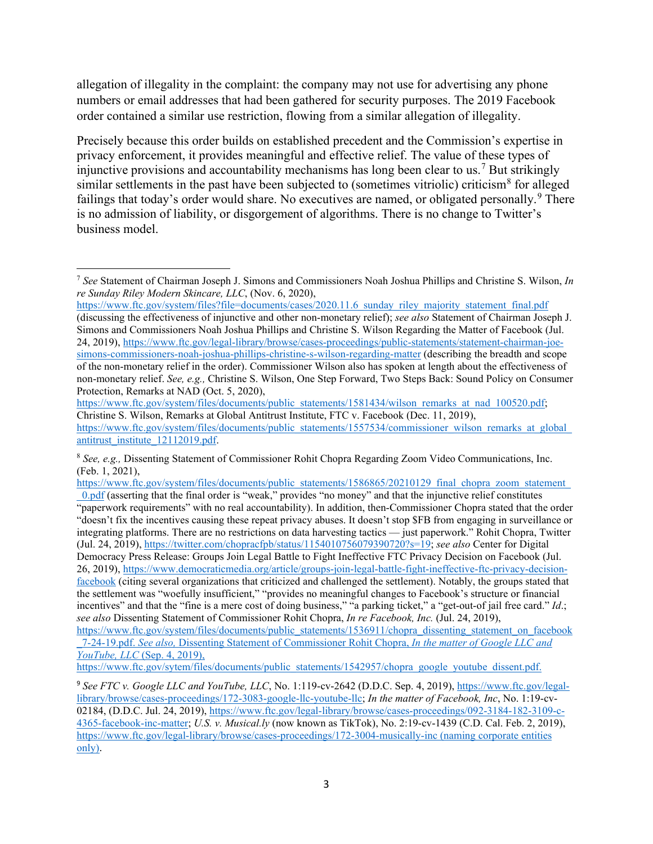allegation of illegality in the complaint: the company may not use for advertising any phone numbers or email addresses that had been gathered for security purposes. The 2019 Facebook order contained a similar use restriction, flowing from a similar allegation of illegality.

business model. Precisely because this order builds on established precedent and the Commission's expertise in privacy enforcement, it provides meaningful and effective relief. The value of these types of injunctive provisions and accountability mechanisms has long been clear to us.<sup>[7](#page-2-0)</sup> But strikingly similar settlements in the past have been subjected to (sometimes vitriolic) criticism<sup>[8](#page-2-1)</sup> for alleged failings that today's order would share. No executives are named, or obligated personally.<sup>[9](#page-2-2)</sup> There is no admission of liability, or disgorgement of algorithms. There is no change to Twitter's

<span id="page-2-0"></span>business model. 7 *See* Statement of Chairman Joseph J. Simons and Commissioners Noah Joshua Phillips and Christine S. Wilson, *In re Sunday Riley Modern Skincare, LLC*, (Nov. 6, 2020),

https://www.ftc.gov/system/files?file=documents/cases/2020.11.6\_sunday\_riley\_majority\_statement\_final.pdf (discussing the effectiveness of injunctive and other non-monetary relief); *see also* Statement of Chairman Joseph J. Simons and Commissioners Noah Joshua Phillips and Christine S. Wilson Regarding the Matter of Facebook (Jul. 24, 2019),[https://www.ftc.gov/legal-library/browse/cases-proceedings/public-statements/statement-chairman-jo](https://www.ftc.gov/legal-library/browse/cases-proceedings/public-statements/statement-chairman-joe)[e](https://www.ftc.gov/legal-library/browse/cases-proceedings/public-statements/statement-chairman-joe-simons-commissioners-noah-joshua-phillips-christine-s-wilson-regarding-matter)[simons-commissioners-noah-joshua-phillips-christine-s-wilson-regarding-matter](https://www.ftc.gov/legal-library/browse/cases-proceedings/public-statements/statement-chairman-joe-simons-commissioners-noah-joshua-phillips-christine-s-wilson-regarding-matter) (describing the breadth and scope of the non-monetary relief in the order). Commissioner Wilson also has spoken at length about the effectiveness of non-monetary relief. *See, e.g.,* Christine S. Wilson, One Step Forward, Two Steps Back: Sound Policy on Consumer Protection, Remarks at NAD (Oct. 5, 2020),

[https://www.ftc.gov/system/files/documents/public\\_statements/1581434/wilson\\_remarks\\_at\\_nad\\_100520.pdf;](https://www.ftc.gov/system/files/documents/public_statements/1581434/wilson_remarks_at_nad_100520.pdf) Christine S. Wilson, Remarks at Global Antitrust Institute, FTC v. Facebook (Dec. 11, 2019), [https://www.ftc.gov/system/files/documents/public\\_statements/1557534/commissioner\\_wilson\\_remarks\\_at\\_global](https://www.ftc.gov/system/files/documents/public_statements/1557534/commissioner_wilson_remarks_at_global)\_ [antitrust\\_institute\\_12112019.pdf.](https://www.ftc.gov/system/files/documents/public_statements/1557534/commissioner_wilson_remarks_at_global_antitrust_institute_12112019.pdf)

<span id="page-2-1"></span> <sup>8</sup>*See, e.g.,* Dissenting Statement of Commissioner Rohit Chopra Regarding Zoom Video Communications, Inc. (Feb. 1, 2021),

 "paperwork requirements" with no real accountability). In addition, then-Commissioner Chopra stated that the order (Jul. 24, 2019), [https://twitter.com/chopracfpb/status/1154010756079390720?s=19;](https://twitter.com/chopracfpb/status/1154010756079390720?s=19) *see also* Center for Digital https://www.ftc.gov/system/files/documents/public\_statements/1586865/20210129\_final\_chopra\_zoom\_statement  $\frac{0. \text{pdf}}{0.}$  (asserting that the final order is "weak," provides "no money" and that the injunctive relief constitutes "doesn't fix the incentives causing these repeat privacy abuses. It doesn't stop \$FB from engaging in surveillance or integrating platforms. There are no restrictions on data harvesting tactics — just paperwork." Rohit Chopra, Twitter Democracy Press Release: Groups Join Legal Battle to Fight Ineffective FTC Privacy Decision on Facebook (Jul. 26, 2019),[https://www.democraticmedia.org/article/groups-join-legal-battle-fight-ineffective-ftc-privacy-decisio](https://www.democraticmedia.org/article/groups-join-legal-battle-fight-ineffective-ftc-privacy-decision)[n](https://www.democraticmedia.org/article/groups-join-legal-battle-fight-ineffective-ftc-privacy-decision-facebook)[facebook](https://www.democraticmedia.org/article/groups-join-legal-battle-fight-ineffective-ftc-privacy-decision-facebook) (citing several organizations that criticized and challenged the settlement). Notably, the groups stated that the settlement was "woefully insufficient," "provides no meaningful changes to Facebook's structure or financial incentives" and that the "fine is a mere cost of doing business," "a parking ticket," a "get-out-of jail free card." *Id*.; *see also* Dissenting Statement of Commissioner Rohit Chopra, *In re Facebook, Inc.* (Jul. 24, 2019),

[https://www.ftc.gov/system/files/documents/public\\_statements/1536911/chopra\\_dissenting\\_statement\\_on\\_faceboo](https://www.ftc.gov/system/files/documents/public_statements/1536911/chopra_dissenting_statement_on_facebook)k [\\_7-24-19.pdf.](https://www.ftc.gov/system/files/documents/public_statements/1536911/chopra_dissenting_statement_on_facebook_7-24-19.pdf) *See also,* Dissenting Statement of Commissioner Rohit Chopra, *In the matter of Google LLC and YouTube, LLC* (Sep. 4, 2019),

[https://www.ftc.gov/sytem/files/documents/public\\_statements/1542957/chopra\\_google\\_youtube\\_dissent.pdf.](https://www.ftc.gov/sytem/files/documents/public_statements/1542957/chopra_google_youtube_dissent.pdf)

<span id="page-2-2"></span><sup>&</sup>lt;sup>9</sup> See FTC v. Google LLC and YouTube, LLC, No. 1:119-cv-2642 (D.D.C. Sep. 4, 2019)[, https://www.ftc.gov/legal](https://www.ftc.gov/legal-library/browse/cases-proceedings/172-3083-google-llc-youtube-llc)[library/browse/cases-proceedings/172-3083-google-llc-youtube-llc;](https://www.ftc.gov/legal-library/browse/cases-proceedings/172-3083-google-llc-youtube-llc) *In the matter of Facebook, Inc*, No. 1:19-cv-02184, (D.D.C. Jul. 24, 2019)[, https://www.ftc.gov/legal-library/browse/cases-proceedings/092-3184-182-3109-c-](https://www.ftc.gov/legal-library/browse/cases-proceedings/092-3184-182-3109-c-4365-facebook-inc-matter)[4365-facebook-inc-matter;](https://www.ftc.gov/legal-library/browse/cases-proceedings/092-3184-182-3109-c-4365-facebook-inc-matter) *U.S. v. [Musical.ly](https://Musical.ly)* (now known as TikTok), No. 2:19-cv-1439 (C.D. Cal. Feb. 2, 2019), <https://www.ftc.gov/legal-library/browse/cases-proceedings/172-3004-musically-inc>(naming corporate entities only).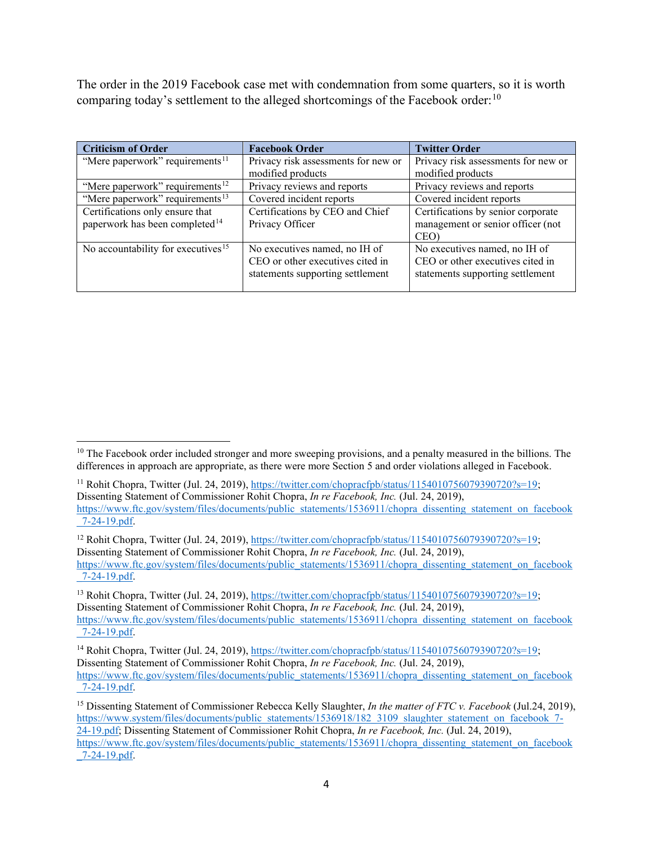comparing today's settlement to the alleged shortcomings of the Facebook order:  $^{10}$ The order in the 2019 Facebook case met with condemnation from some quarters, so it is worth

| <b>Criticism of Order</b>                      | <b>Facebook Order</b>               | <b>Twitter Order</b>                |
|------------------------------------------------|-------------------------------------|-------------------------------------|
| "Mere paperwork" requirements <sup>11</sup>    | Privacy risk assessments for new or | Privacy risk assessments for new or |
|                                                | modified products                   | modified products                   |
| "Mere paperwork" requirements <sup>12</sup>    | Privacy reviews and reports         | Privacy reviews and reports         |
| "Mere paperwork" requirements <sup>13</sup>    | Covered incident reports            | Covered incident reports            |
| Certifications only ensure that                | Certifications by CEO and Chief     | Certifications by senior corporate  |
| paperwork has been completed <sup>14</sup>     | Privacy Officer                     | management or senior officer (not   |
|                                                |                                     | CEO)                                |
| No accountability for executives <sup>15</sup> | No executives named, no IH of       | No executives named, no IH of       |
|                                                | CEO or other executives cited in    | CEO or other executives cited in    |
|                                                | statements supporting settlement    | statements supporting settlement    |
|                                                |                                     |                                     |

<span id="page-3-3"></span><sup>13</sup> Rohit Chopra, Twitter (Jul. 24, 2019)[, https://twitter.com/chopracfpb/status/1154010756079390720?s=19;](https://twitter.com/chopracfpb/status/1154010756079390720?s=19) Dissenting Statement of Commissioner Rohit Chopra, *In re Facebook, Inc.* (Jul. 24, 2019), [https://www.ftc.gov/system/files/documents/public\\_statements/1536911/chopra\\_dissenting\\_statement\\_on\\_facebook](https://www.ftc.gov/system/files/documents/public_statements/1536911/chopra_dissenting_statement_on_facebook) [\\_7-24-19.pdf.](https://www.ftc.gov/system/files/documents/public_statements/1536911/chopra_dissenting_statement_on_facebook_7-24-19.pdf)

<span id="page-3-0"></span> $10$  The Facebook order included stronger and more sweeping provisions, and a penalty measured in the billions. The differences in approach are appropriate, as there were more Section 5 and order violations alleged in Facebook.

<span id="page-3-1"></span><sup>&</sup>lt;sup>11</sup> Rohit Chopra, Twitter (Jul. 24, 2019)[, https://twitter.com/chopracfpb/status/1154010756079390720?s=19;](https://twitter.com/chopracfpb/status/1154010756079390720?s=19) Dissenting Statement of Commissioner Rohit Chopra, *In re Facebook, Inc.* (Jul. 24, 2019), [https://www.ftc.gov/system/files/documents/public\\_statements/1536911/chopra\\_dissenting\\_statement\\_on\\_facebook](https://www.ftc.gov/system/files/documents/public_statements/1536911/chopra_dissenting_statement_on_facebook) [\\_7-24-19.pdf.](https://www.ftc.gov/system/files/documents/public_statements/1536911/chopra_dissenting_statement_on_facebook_7-24-19.pdf)

<span id="page-3-2"></span><sup>&</sup>lt;sup>12</sup> Rohit Chopra, Twitter (Jul. 24, 2019)[, https://twitter.com/chopracfpb/status/1154010756079390720?s=19;](https://twitter.com/chopracfpb/status/1154010756079390720?s=19) Dissenting Statement of Commissioner Rohit Chopra, *In re Facebook, Inc.* (Jul. 24, 2019), [https://www.ftc.gov/system/files/documents/public\\_statements/1536911/chopra\\_dissenting\\_statement\\_on\\_faceboo](https://www.ftc.gov/system/files/documents/public_statements/1536911/chopra_dissenting_statement_on_facebook)k [\\_7-24-19.pdf.](https://www.ftc.gov/system/files/documents/public_statements/1536911/chopra_dissenting_statement_on_facebook_7-24-19.pdf)

<span id="page-3-4"></span><sup>&</sup>lt;sup>14</sup> Rohit Chopra, Twitter (Jul. 24, 2019)[, https://twitter.com/chopracfpb/status/1154010756079390720?s=19;](https://twitter.com/chopracfpb/status/1154010756079390720?s=19) Dissenting Statement of Commissioner Rohit Chopra, *In re Facebook, Inc.* (Jul. 24, 2019), [https://www.ftc.gov/system/files/documents/public\\_statements/1536911/chopra\\_dissenting\\_statement\\_on\\_facebook](https://www.ftc.gov/system/files/documents/public_statements/1536911/chopra_dissenting_statement_on_facebook) [\\_7-24-19.pdf.](https://www.ftc.gov/system/files/documents/public_statements/1536911/chopra_dissenting_statement_on_facebook_7-24-19.pdf)

<span id="page-3-5"></span> [24-19.pdf;](https://www.system/files/documents/public_statements/1536918/182_3109_slaughter_statement_on_facebook_7-24-19.pdf) Dissenting Statement of Commissioner Rohit Chopra, *In re Facebook, Inc.* (Jul. 24, 2019), 15 Dissenting Statement of Commissioner Rebecca Kelly Slaughter, *In the matter of FTC v. Facebook* (Jul.24, 2019), [https://www.system/files/documents/public\\_statements/1536918/182\\_3109\\_slaughter\\_statement\\_on\\_facebook\\_7](https://www.system/files/documents/public_statements/1536918/182_3109_slaughter_statement_on_facebook_7-24-19.pdf) https://www.ftc.gov/system/files/documents/public\_statements/1536911/chopra\_dissenting\_statement\_on\_facebook [\\_7-24-19.pdf.](https://www.ftc.gov/system/files/documents/public_statements/1536911/chopra_dissenting_statement_on_facebook_7-24-19.pdf)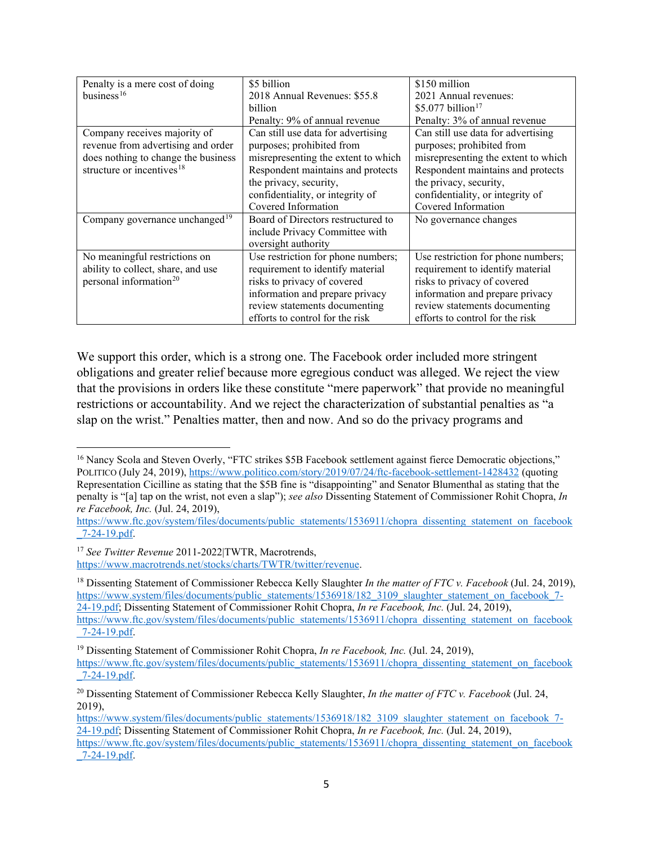| Penalty is a mere cost of doing     | \$5 billion                         | \$150 million                       |
|-------------------------------------|-------------------------------------|-------------------------------------|
| business <sup>16</sup>              | 2018 Annual Revenues: \$55.8        | 2021 Annual revenues:               |
|                                     | billion                             | \$5.077 billion <sup>17</sup>       |
|                                     | Penalty: 9% of annual revenue       | Penalty: 3% of annual revenue       |
| Company receives majority of        | Can still use data for advertising  | Can still use data for advertising  |
| revenue from advertising and order  | purposes; prohibited from           | purposes; prohibited from           |
| does nothing to change the business | misrepresenting the extent to which | misrepresenting the extent to which |
| structure or incentives $18$        | Respondent maintains and protects   | Respondent maintains and protects   |
|                                     | the privacy, security,              | the privacy, security,              |
|                                     | confidentiality, or integrity of    | confidentiality, or integrity of    |
|                                     | Covered Information                 | Covered Information                 |
| Company governance unchanged $19$   | Board of Directors restructured to  | No governance changes               |
|                                     | include Privacy Committee with      |                                     |
|                                     | oversight authority                 |                                     |
| No meaningful restrictions on       | Use restriction for phone numbers;  | Use restriction for phone numbers;  |
| ability to collect, share, and use  | requirement to identify material    | requirement to identify material    |
| personal information <sup>20</sup>  | risks to privacy of covered         | risks to privacy of covered         |
|                                     | information and prepare privacy     | information and prepare privacy     |
|                                     | review statements documenting       | review statements documenting       |
|                                     | efforts to control for the risk     | efforts to control for the risk     |

We support this order, which is a strong one. The Facebook order included more stringent obligations and greater relief because more egregious conduct was alleged. We reject the view that the provisions in orders like these constitute "mere paperwork" that provide no meaningful restrictions or accountability. And we reject the characterization of substantial penalties as "a slap on the wrist." Penalties matter, then and now. And so do the privacy programs and

<span id="page-4-0"></span><sup>&</sup>lt;sup>16</sup> Nancy Scola and Steven Overly, "FTC strikes \$5B Facebook settlement against fierce Democratic objections," POLITICO (July 24, 2019),<https://www.politico.com/story/2019/07/24/ftc-facebook-settlement-1428432>(quoting Representation Cicilline as stating that the \$5B fine is "disappointing" and Senator Blumenthal as stating that the penalty is "[a] tap on the wrist, not even a slap"); *see also* Dissenting Statement of Commissioner Rohit Chopra, *In re Facebook, Inc.* (Jul. 24, 2019),

https://www.ftc.gov/system/files/documents/public\_statements/1536911/chopra\_dissenting\_statement\_on\_facebook [\\_7-24-19.pdf.](https://www.ftc.gov/system/files/documents/public_statements/1536911/chopra_dissenting_statement_on_facebook_7-24-19.pdf)

<span id="page-4-1"></span><sup>17</sup>*See Twitter Revenue* 2011-2022|TWTR, Macrotrends, [https://www.macrotrends.net/stocks/charts/TWTR/twitter/revenue.](https://www.macrotrends.net/stocks/charts/TWTR/twitter/revenue)

<span id="page-4-2"></span> 18 Dissenting Statement of Commissioner Rebecca Kelly Slaughter *In the matter of FTC v. Facebook* (Jul. 24, 2019), [24-19.pdf;](https://www.system/files/documents/public_statements/1536918/182_3109_slaughter_statement_on_facebook_7-24-19.pdf) Dissenting Statement of Commissioner Rohit Chopra, *In re Facebook, Inc.* (Jul. 24, 2019), [https://www.system/files/documents/public\\_statements/1536918/182\\_3109\\_slaughter\\_statement\\_on\\_facebook\\_7](https://www.system/files/documents/public_statements/1536918/182_3109_slaughter_statement_on_facebook_7) [https://www.ftc.gov/system/files/documents/public\\_statements/1536911/chopra\\_dissenting\\_statement\\_on\\_facebook](https://www.ftc.gov/system/files/documents/public_statements/1536911/chopra_dissenting_statement_on_facebook) [\\_7-24-19.pdf.](https://www.ftc.gov/system/files/documents/public_statements/1536911/chopra_dissenting_statement_on_facebook_7-24-19.pdf)

<span id="page-4-3"></span><sup>&</sup>lt;sup>19</sup> Dissenting Statement of Commissioner Rohit Chopra, *In re Facebook, Inc.* (Jul. 24, 2019), https://www.ftc.gov/system/files/documents/public\_statements/1536911/chopra\_dissenting\_statement\_on\_facebook [\\_7-24-19.pdf.](https://www.ftc.gov/system/files/documents/public_statements/1536911/chopra_dissenting_statement_on_facebook_7-24-19.pdf)

<span id="page-4-4"></span> 20 Dissenting Statement of Commissioner Rebecca Kelly Slaughter, *In the matter of FTC v. Facebook* (Jul. 24, 2019),

 [24-19.pdf;](https://www.system/files/documents/public_statements/1536918/182_3109_slaughter_statement_on_facebook_7-24-19.pdf) Dissenting Statement of Commissioner Rohit Chopra, *In re Facebook, Inc.* (Jul. 24, 2019), [https://www.system/files/documents/public\\_statements/1536918/182\\_3109\\_slaughter\\_statement\\_on\\_facebook\\_7](https://www.system/files/documents/public_statements/1536918/182_3109_slaughter_statement_on_facebook_7-24-19.pdf) https://www.ftc.gov/system/files/documents/public\_statements/1536911/chopra\_dissenting\_statement\_on\_facebook [\\_7-24-19.pdf.](https://www.ftc.gov/system/files/documents/public_statements/1536911/chopra_dissenting_statement_on_facebook_7-24-19.pdf)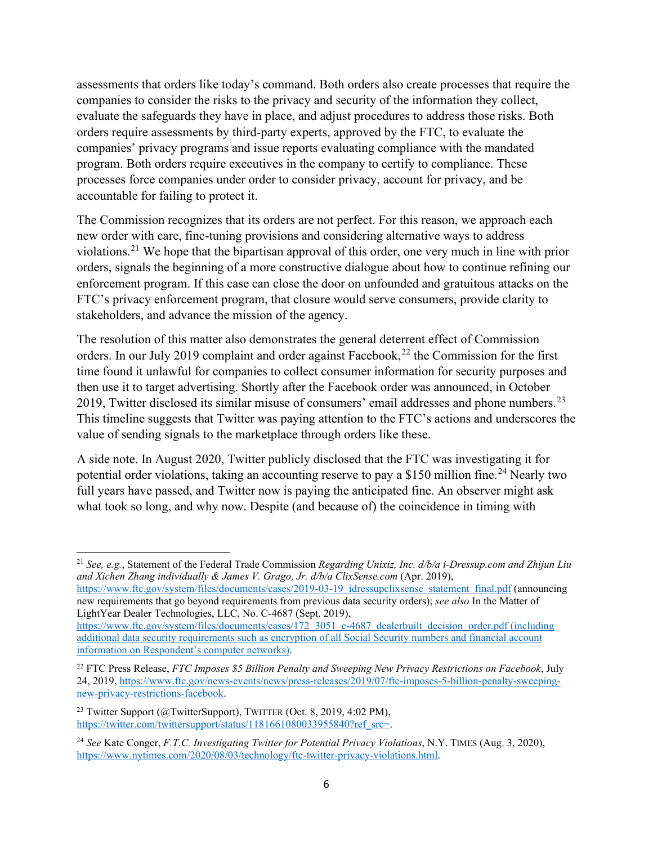assessments that orders like today's command. Both orders also create processes that require the companies to consider the risks to the privacy and security of the information they collect, evaluate the safeguards they have in place, and adjust procedures to address those risks. Both orders require assessments by third-party experts, approved by the FTC, to evaluate the companies' privacy programs and issue reports evaluating compliance with the mandated program. Both orders require executives in the company to certify to compliance. These processes force companies under order to consider privacy, account for privacy, and be accountable for failing to protect it.

The Commission recognizes that its orders are not perfect. For this reason, we approach each new order with care, fine-tuning provisions and considering alternative ways to address violations.[21](#page-5-0) We hope that the bipartisan approval of this order, one very much in line with prior orders, signals the beginning of a more constructive dialogue about how to continue refining our enforcement program. If this case can close the door on unfounded and gratuitous attacks on the FTC's privacy enforcement program, that closure would serve consumers, provide clarity to stakeholders, and advance the mission of the agency.

The resolution of this matter also demonstrates the general deterrent effect of Commission orders. In our July 2019 complaint and order against Facebook,<sup>22</sup> the Commission for the first time found it unlawful for companies to collect consumer information for security purposes and then use it to target advertising. Shortly after the Facebook order was announced, in October 2019, Twitter disclosed its similar misuse of consumers' email addresses and phone numbers.<sup>23</sup> This timeline suggests that Twitter was paying attention to the FTC's actions and underscores the value of sending signals to the marketplace through orders like these.

A side note. In August 2020, Twitter publicly disclosed that the FTC was investigating it for potential order violations, taking an accounting reserve to pay a \$150 million fine.<sup>[24](#page-5-3)</sup> Nearly two full years have passed, and Twitter now is paying the anticipated fine. An observer might ask what took so long, and why now. Despite (and because of) the coincidence in timing with

 LightYear Dealer Technologies, LLC, No. C-4687 (Sept. 2019), [https://www.ftc.gov/system/files/documents/cases/2019-03-19\\_idressupclixsense\\_statement\\_final.pdf](https://www.ftc.gov/system/files/documents/cases/2019-03-19_idressupclixsense_statement_final.pdf) (announcing new requirements that go beyond requirements from previous data security orders); *see also* In the Matter of

<span id="page-5-0"></span><sup>21</sup>*See, e.g.*, Statement of the Federal Trade Commission *Regarding Unixiz, Inc. d/b/a [i-Dressup.com](https://i-Dressup.com) and Zhijun Liu and Xichen Zhang individually & James V. Grago, Jr. d/b/a [ClixSense.com](https://ClixSense.com)* (Apr. 2019),

[https://www.ftc.gov/system/files/documents/cases/172\\_3051\\_c-4687\\_dealerbuilt\\_decision\\_order.pdf](https://www.ftc.gov/system/files/documents/cases/172_3051_c-4687_dealerbuilt_decision_order.pdf) (including additional data security requirements such as encryption of all Social Security numbers and financial account information on Respondent's computer networks).

<span id="page-5-1"></span> 22 FTC Press Release, *FTC Imposes \$5 Billion Penalty and Sweeping New Privacy Restrictions on Facebook*, July 24, 2019, [https://www.ftc.gov/news-events/news/press-releases/2019/07/ftc-imposes-5-billion-penalty-sweeping](https://www.ftc.gov/news-events/news/press-releases/2019/07/ftc-imposes-5-billion-penalty-sweeping-new-privacy-restrictions-facebook)[new-privacy-restrictions-facebook.](https://www.ftc.gov/news-events/news/press-releases/2019/07/ftc-imposes-5-billion-penalty-sweeping-new-privacy-restrictions-facebook)

<span id="page-5-2"></span><sup>&</sup>lt;sup>23</sup> Twitter Support ( $@$ TwitterSupport), TWITTER (Oct. 8, 2019, 4:02 PM), [https://twitter.com/twittersupport/status/1181661080033955840?ref\\_src=.](https://twitter.com/twittersupport/status/1181661080033955840?ref_src=)

<span id="page-5-3"></span> <sup>24</sup>*See* Kate Conger, *F.T.C. Investigating Twitter for Potential Privacy Violations*, N.Y. TIMES (Aug. 3, 2020), [https://www.nytimes.com/2020/08/03/technology/ftc-twitter-privacy-violations.html.](https://www.nytimes.com/2020/08/03/technology/ftc-twitter-privacy-violations.)